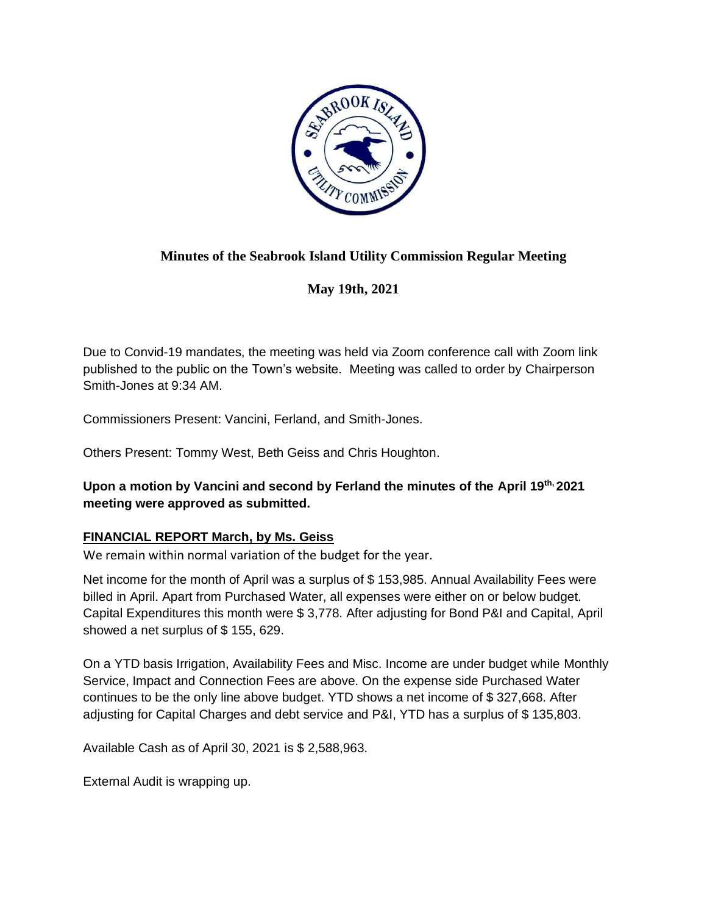

# **Minutes of the Seabrook Island Utility Commission Regular Meeting**

**May 19th, 2021**

Due to Convid-19 mandates, the meeting was held via Zoom conference call with Zoom link published to the public on the Town's website. Meeting was called to order by Chairperson Smith-Jones at 9:34 AM.

Commissioners Present: Vancini, Ferland, and Smith-Jones.

Others Present: Tommy West, Beth Geiss and Chris Houghton.

# **Upon a motion by Vancini and second by Ferland the minutes of the April 19th, 2021 meeting were approved as submitted.**

# **FINANCIAL REPORT March, by Ms. Geiss**

We remain within normal variation of the budget for the year.

Net income for the month of April was a surplus of \$ 153,985. Annual Availability Fees were billed in April. Apart from Purchased Water, all expenses were either on or below budget. Capital Expenditures this month were \$ 3,778. After adjusting for Bond P&I and Capital, April showed a net surplus of \$ 155, 629.

On a YTD basis Irrigation, Availability Fees and Misc. Income are under budget while Monthly Service, Impact and Connection Fees are above. On the expense side Purchased Water continues to be the only line above budget. YTD shows a net income of \$ 327,668. After adjusting for Capital Charges and debt service and P&I, YTD has a surplus of \$ 135,803.

Available Cash as of April 30, 2021 is \$ 2,588,963.

External Audit is wrapping up.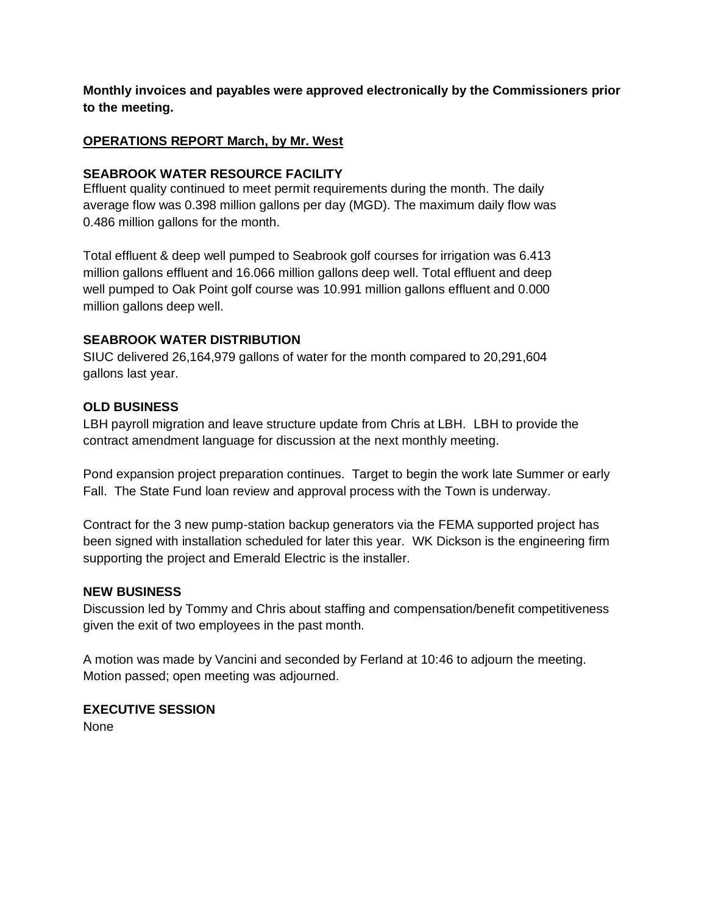**Monthly invoices and payables were approved electronically by the Commissioners prior to the meeting.**

# **OPERATIONS REPORT March, by Mr. West**

#### **SEABROOK WATER RESOURCE FACILITY**

Effluent quality continued to meet permit requirements during the month. The daily average flow was 0.398 million gallons per day (MGD). The maximum daily flow was 0.486 million gallons for the month.

Total effluent & deep well pumped to Seabrook golf courses for irrigation was 6.413 million gallons effluent and 16.066 million gallons deep well. Total effluent and deep well pumped to Oak Point golf course was 10.991 million gallons effluent and 0.000 million gallons deep well.

# **SEABROOK WATER DISTRIBUTION**

SIUC delivered 26,164,979 gallons of water for the month compared to 20,291,604 gallons last year.

# **OLD BUSINESS**

LBH payroll migration and leave structure update from Chris at LBH. LBH to provide the contract amendment language for discussion at the next monthly meeting.

Pond expansion project preparation continues. Target to begin the work late Summer or early Fall. The State Fund loan review and approval process with the Town is underway.

Contract for the 3 new pump-station backup generators via the FEMA supported project has been signed with installation scheduled for later this year. WK Dickson is the engineering firm supporting the project and Emerald Electric is the installer.

# **NEW BUSINESS**

Discussion led by Tommy and Chris about staffing and compensation/benefit competitiveness given the exit of two employees in the past month.

A motion was made by Vancini and seconded by Ferland at 10:46 to adjourn the meeting. Motion passed; open meeting was adjourned.

**EXECUTIVE SESSION** None